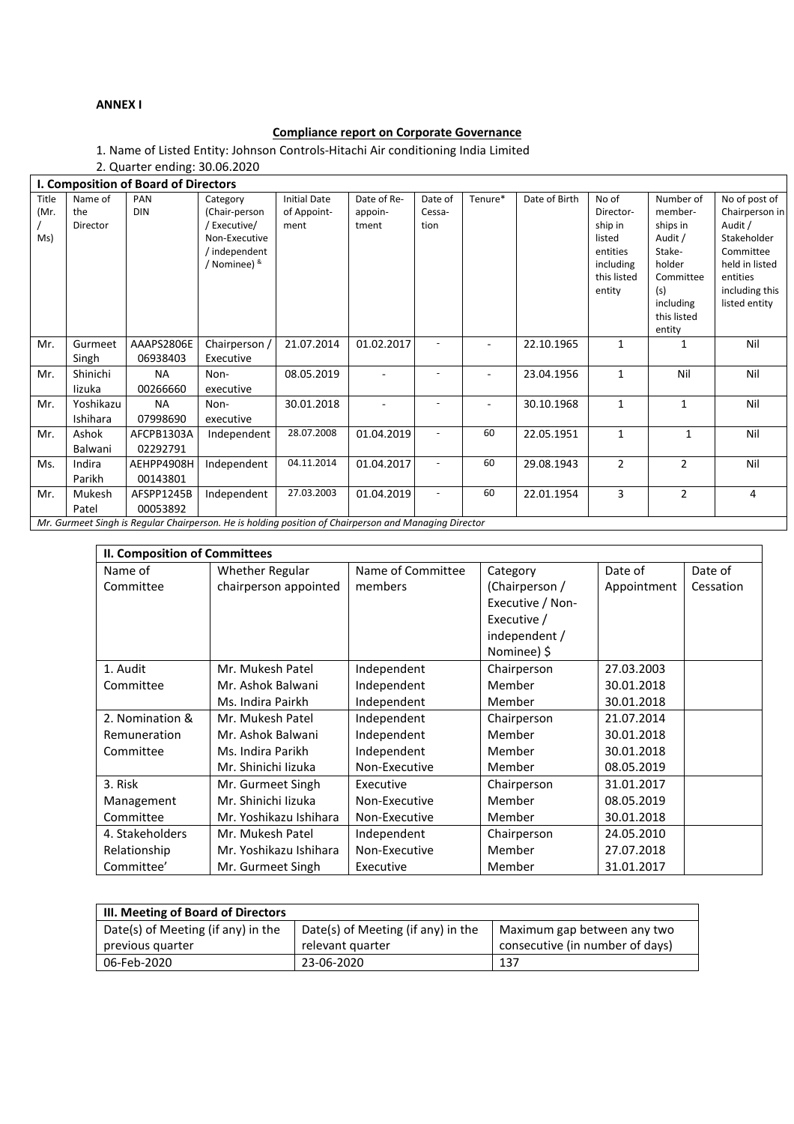# **ANNEX I**

# **Compliance report on Corporate Governance**

1. Name of Listed Entity: Johnson Controls-Hitachi Air conditioning India Limited

2. Quarter ending: 30.06.2020

| I. Composition of Board of Directors |                                                                                                       |                        |                                                                                           |                                            |                                 |                           |         |               |                                                                                           |                                                                                                                           |                                                                                                                                         |
|--------------------------------------|-------------------------------------------------------------------------------------------------------|------------------------|-------------------------------------------------------------------------------------------|--------------------------------------------|---------------------------------|---------------------------|---------|---------------|-------------------------------------------------------------------------------------------|---------------------------------------------------------------------------------------------------------------------------|-----------------------------------------------------------------------------------------------------------------------------------------|
| Title<br>(Mr.<br>Ms)                 | Name of<br>the<br>Director                                                                            | PAN<br><b>DIN</b>      | Category<br>(Chair-person<br>Executive/<br>Non-Executive<br>/ independent<br>/ Nominee) & | <b>Initial Date</b><br>of Appoint-<br>ment | Date of Re-<br>appoin-<br>tment | Date of<br>Cessa-<br>tion | Tenure* | Date of Birth | No of<br>Director-<br>ship in<br>listed<br>entities<br>including<br>this listed<br>entity | Number of<br>member-<br>ships in<br>Audit /<br>Stake-<br>holder<br>Committee<br>(s)<br>including<br>this listed<br>entity | No of post of<br>Chairperson in<br>Audit /<br>Stakeholder<br>Committee<br>held in listed<br>entities<br>including this<br>listed entity |
| Mr.                                  | Gurmeet<br>Singh                                                                                      | AAAPS2806E<br>06938403 | Chairperson /<br>Executive                                                                | 21.07.2014                                 | 01.02.2017                      |                           |         | 22.10.1965    | 1                                                                                         | 1                                                                                                                         | Nil                                                                                                                                     |
| Mr.                                  | Shinichi<br>lizuka                                                                                    | <b>NA</b><br>00266660  | Non-<br>executive                                                                         | 08.05.2019                                 |                                 |                           | ۰       | 23.04.1956    | 1                                                                                         | Nil                                                                                                                       | Nil                                                                                                                                     |
| Mr.                                  | Yoshikazu<br>Ishihara                                                                                 | <b>NA</b><br>07998690  | Non-<br>executive                                                                         | 30.01.2018                                 |                                 |                           |         | 30.10.1968    | $\mathbf{1}$                                                                              | $\mathbf{1}$                                                                                                              | Nil                                                                                                                                     |
| Mr.                                  | Ashok<br>Balwani                                                                                      | AFCPB1303A<br>02292791 | Independent                                                                               | 28.07.2008                                 | 01.04.2019                      |                           | 60      | 22.05.1951    | 1                                                                                         | 1                                                                                                                         | Nil                                                                                                                                     |
| Ms.                                  | Indira<br>Parikh                                                                                      | AEHPP4908H<br>00143801 | Independent                                                                               | 04.11.2014                                 | 01.04.2017                      |                           | 60      | 29.08.1943    | $\overline{2}$                                                                            | $\overline{2}$                                                                                                            | Nil                                                                                                                                     |
| Mr.                                  | Mukesh<br>Patel                                                                                       | AFSPP1245B<br>00053892 | Independent                                                                               | 27.03.2003                                 | 01.04.2019                      | $\overline{\phantom{a}}$  | 60      | 22.01.1954    | 3                                                                                         | $\overline{2}$                                                                                                            | $\overline{4}$                                                                                                                          |
|                                      | Mr. Curmoot Singh is Requier Chairperson, Ho is holding position of Chairperson and Managina Director |                        |                                                                                           |                                            |                                 |                           |         |               |                                                                                           |                                                                                                                           |                                                                                                                                         |

*Mr. Gurmeet Singh is Regular Chairperson. He is holding position of Chairperson and Managing Director*

| II. Composition of Committees |                        |                   |                  |             |           |  |  |
|-------------------------------|------------------------|-------------------|------------------|-------------|-----------|--|--|
| Name of                       | <b>Whether Regular</b> | Name of Committee | Category         | Date of     | Date of   |  |  |
| Committee                     | chairperson appointed  | members           | (Chairperson /   | Appointment | Cessation |  |  |
|                               |                        |                   | Executive / Non- |             |           |  |  |
|                               |                        |                   | Executive /      |             |           |  |  |
|                               |                        |                   | independent /    |             |           |  |  |
|                               |                        |                   | Nominee) \$      |             |           |  |  |
| 1. Audit                      | Mr. Mukesh Patel       | Independent       | Chairperson      | 27.03.2003  |           |  |  |
| Committee                     | Mr. Ashok Balwani      | Independent       | Member           | 30.01.2018  |           |  |  |
|                               | Ms. Indira Pairkh      | Independent       | Member           | 30.01.2018  |           |  |  |
| 2. Nomination &               | Mr. Mukesh Patel       | Independent       | Chairperson      | 21.07.2014  |           |  |  |
| Remuneration                  | Mr. Ashok Balwani      | Independent       | Member           | 30.01.2018  |           |  |  |
| Committee                     | Ms. Indira Parikh      | Independent       | Member           | 30.01.2018  |           |  |  |
|                               | Mr. Shinichi lizuka    | Non-Executive     | Member           | 08.05.2019  |           |  |  |
| 3. Risk                       | Mr. Gurmeet Singh      | Executive         | Chairperson      | 31.01.2017  |           |  |  |
| Management                    | Mr. Shinichi lizuka    | Non-Executive     | Member           | 08.05.2019  |           |  |  |
| Committee                     | Mr. Yoshikazu Ishihara | Non-Executive     | Member           | 30.01.2018  |           |  |  |
| 4. Stakeholders               | Mr. Mukesh Patel       | Independent       | Chairperson      | 24.05.2010  |           |  |  |
| Relationship                  | Mr. Yoshikazu Ishihara | Non-Executive     | Member           | 27.07.2018  |           |  |  |
| Committee'                    | Mr. Gurmeet Singh      | Executive         | Member           | 31.01.2017  |           |  |  |

| III. Meeting of Board of Directors |                                    |                                 |  |  |  |  |
|------------------------------------|------------------------------------|---------------------------------|--|--|--|--|
| Date(s) of Meeting (if any) in the | Date(s) of Meeting (if any) in the | Maximum gap between any two     |  |  |  |  |
| previous quarter                   | relevant quarter                   | consecutive (in number of days) |  |  |  |  |
| 06-Feb-2020                        | 23-06-2020                         | 137                             |  |  |  |  |